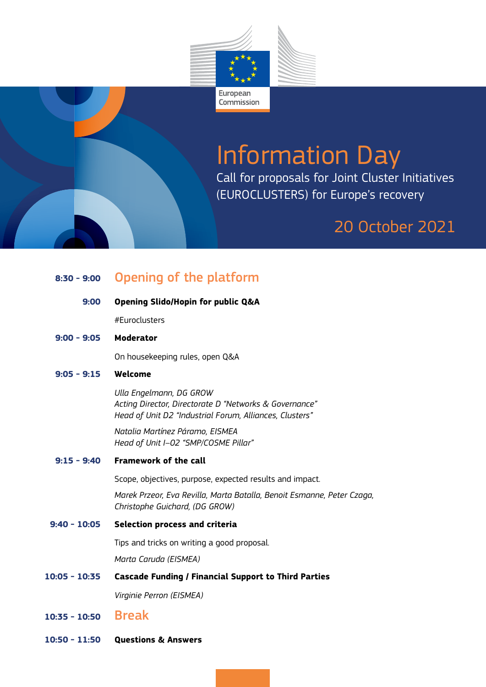

# Information Day

Call for proposals for Joint Cluster Initiatives (EUROCLUSTERS) for Europe's recovery

# 20 October 2021

## **8:30 - 9:00** Opening of the platform

#### **9:00 Opening Slido/Hopin for public Q&A**

#Euroclusters

**9:00 - 9:05 Moderator**

Οn housekeeping rules, open Q&A

#### **9:05 - 9:15 Welcome**

*Ulla Engelmann, DG GROW Acting Director, Directorate D "Networks & Governance" Head of Unit D2 "Industrial Forum, Alliances, Clusters"* 

*Natalia Martínez Páramo, EISMEA Head of Unit I–02 "SMP/COSME Pillar"*

#### **9:15 - 9:40 Framework of the call**

Scope, objectives, purpose, expected results and impact.

*Marek Przeor, Eva Revilla, Marta Batalla, Benoit Esmanne, Peter Czaga, Christophe Guichard, (DG GROW)*

**9:40 - 10:05 Selection process and criteria**

Tips and tricks on writing a good proposal.

*Marta Caruda (EISMEA)*

### **10:05 - 10:35 Cascade Funding / Financial Support to Third Parties**

*Virginie Perron (EISMEA)* 

- **10:35 10:50** Break
- **10:50 11:50 Questions & Answers**